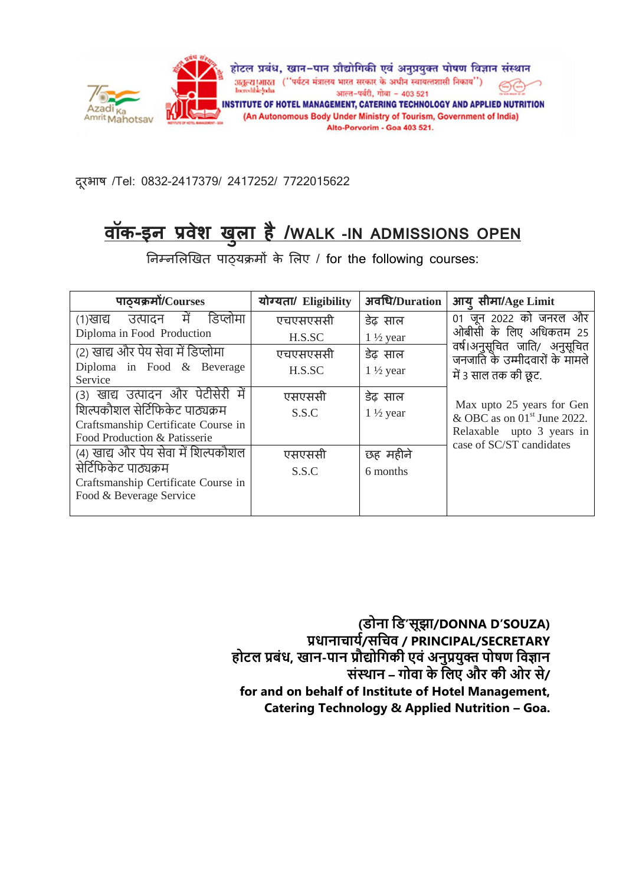

दरूभाष /Tel: 0832-2417379/ 2417252/ 7722015622

# **वॉक-इन प्रवेश ख ु ला है/WALK -IN ADMISSIONS OPEN**

निम्नलिखित पाठ्यक्रमों के लिए / for the following courses:

| पाठयक्रमों/Courses                                                     | योग्यता/ Eligibility | अवधि/Duration       | आयु सीमा/Age Limit                                             |
|------------------------------------------------------------------------|----------------------|---------------------|----------------------------------------------------------------|
| में<br>डिप्लोमा<br>उत्पादन<br>(१)खाद्य                                 | एचएसएससी             | डेढ़ साल            | 01 जून 2022 को जनरल और                                         |
| Diploma in Food Production                                             | H.S.SC               | $1\frac{1}{2}$ year | ओबीसी के लिए अधिकतम 25                                         |
| (2) खाद्य और पेय सेवा में डिप्लोमा                                     | एचएसएससी             | डेढ़ साल            | वर्ष।अनुसूचित जाति/ अनुसूचित<br>जनजाति के उम्मीदवारों के मामले |
| Diploma in Food & Beverage<br>Service                                  | H.S.SC               | $1\frac{1}{2}$ year | में 3 साल तक की छूट.                                           |
| में<br>(3) खाद्य उत्पादन और पेटीसेरी                                   | एसएससी               | डेढ़ साल            | Max upto 25 years for Gen                                      |
| शिल्पकौशल सेर्टिफिकेट पाठ्यक्रम<br>Craftsmanship Certificate Course in | S.S.C                | $1\frac{1}{2}$ year | & OBC as on $01st$ June 2022.                                  |
| Food Production & Patisserie                                           |                      |                     | Relaxable upto 3 years in<br>case of SC/ST candidates          |
| (4) खाद्य और पेय सेवा में शिल्पकौशल                                    | एसएससी               | छह महीने            |                                                                |
| सेर्टिफिकेट पाठ्यक्रम                                                  | S.S.C                | 6 months            |                                                                |
| Craftsmanship Certificate Course in                                    |                      |                     |                                                                |
| Food & Beverage Service                                                |                      |                     |                                                                |

**(डोना डड'सूझा/DONNA D'SOUZA) प्रधानाचार्य/सडचव / PRINCIPAL/SECRETARY होटल प्रबंध, खान-पान प्रौद्योडिकी एवं अनुप्रर्ुक्त पोषण डवज्ञान संस्थान – िोवा के डलए और की ओर से/ for and on behalf of Institute of Hotel Management, Catering Technology & Applied Nutrition – Goa.**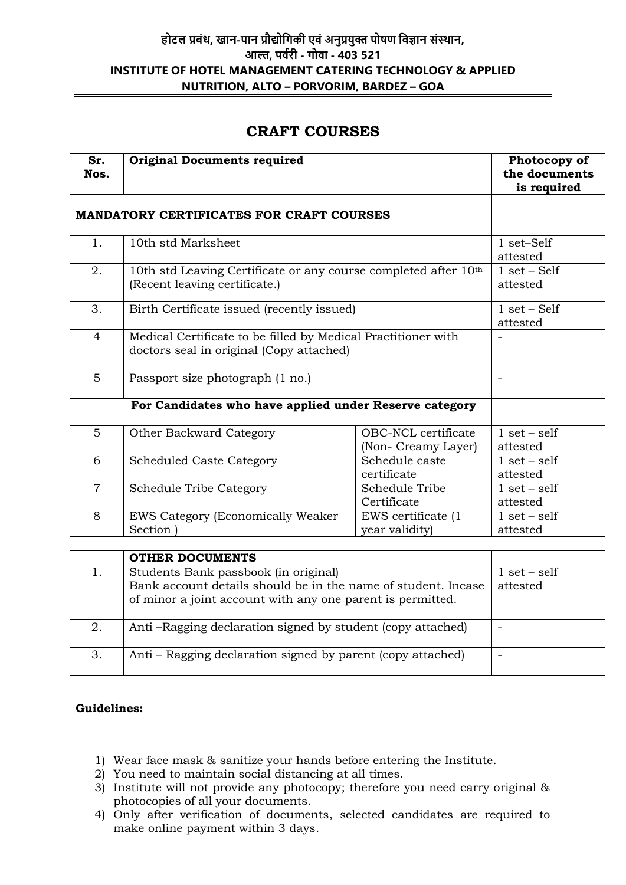## **होटल प्रबंध, खान-पान प्रौद्योडिकी एवं अनुप्रर्ुक्त पोषण डवज्ञान संस्थान, आल्त, पवयरी - िोवा - 403 521 INSTITUTE OF HOTEL MANAGEMENT CATERING TECHNOLOGY & APPLIED NUTRITION, ALTO – PORVORIM, BARDEZ – GOA**

# **CRAFT COURSES**

| Sr.<br>Nos.                                     | <b>Original Documents required</b>                                                                                                                                  | Photocopy of<br>the documents<br>is required |                                  |
|-------------------------------------------------|---------------------------------------------------------------------------------------------------------------------------------------------------------------------|----------------------------------------------|----------------------------------|
| <b>MANDATORY CERTIFICATES FOR CRAFT COURSES</b> |                                                                                                                                                                     |                                              |                                  |
| 1.                                              | 10th std Marksheet                                                                                                                                                  |                                              | $1 \text{ set–Self}$<br>attested |
| 2.                                              | 10th std Leaving Certificate or any course completed after 10th<br>(Recent leaving certificate.)                                                                    | $1 set - Self$<br>attested                   |                                  |
| 3.                                              | Birth Certificate issued (recently issued)                                                                                                                          | $1 set - Self$<br>attested                   |                                  |
| $\overline{4}$                                  | Medical Certificate to be filled by Medical Practitioner with<br>doctors seal in original (Copy attached)                                                           |                                              |                                  |
| 5                                               | Passport size photograph (1 no.)                                                                                                                                    |                                              |                                  |
|                                                 | For Candidates who have applied under Reserve category                                                                                                              |                                              |                                  |
| $\overline{5}$                                  | Other Backward Category                                                                                                                                             | OBC-NCL certificate<br>(Non- Creamy Layer)   | $1 set - self$<br>attested       |
| 6                                               | <b>Scheduled Caste Category</b>                                                                                                                                     | Schedule caste<br>certificate                | $1 set - self$<br>attested       |
| $\overline{7}$                                  | <b>Schedule Tribe Category</b>                                                                                                                                      | <b>Schedule Tribe</b><br>Certificate         | $1 set - self$<br>attested       |
| 8                                               | <b>EWS Category (Economically Weaker)</b><br>Section )                                                                                                              | EWS certificate (1<br>year validity)         | $1 set - self$<br>attested       |
|                                                 | <b>OTHER DOCUMENTS</b>                                                                                                                                              |                                              |                                  |
| 1.                                              | Students Bank passbook (in original)<br>Bank account details should be in the name of student. Incase<br>of minor a joint account with any one parent is permitted. |                                              | $1 set - self$<br>attested       |
| 2.                                              | Anti-Ragging declaration signed by student (copy attached)                                                                                                          | $\equiv$                                     |                                  |
| 3.                                              | Anti – Ragging declaration signed by parent (copy attached)                                                                                                         |                                              | $\bar{\phantom{a}}$              |

#### **Guidelines:**

- 1) Wear face mask & sanitize your hands before entering the Institute.
- 2) You need to maintain social distancing at all times.
- 3) Institute will not provide any photocopy; therefore you need carry original & photocopies of all your documents.
- 4) Only after verification of documents, selected candidates are required to make online payment within 3 days.